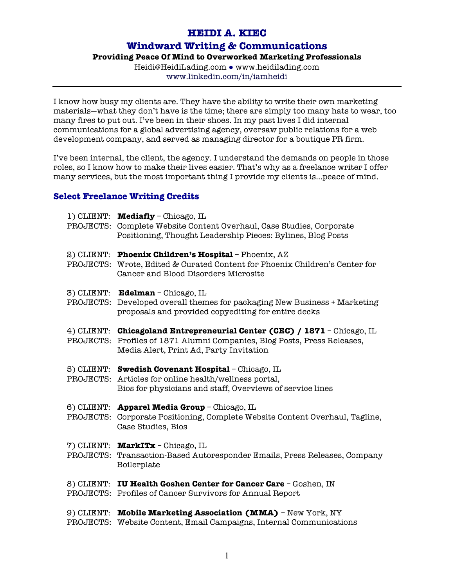## **HEIDI A. KIEC**

## **Windward Writing & Communications**

## **Providing Peace Of Mind to Overworked Marketing Professionals**

Heidi@HeidiLading.com ● www.heidilading.com www.linkedin.com/in/iamheidi

I know how busy my clients are. They have the ability to write their own marketing materials—what they don't have is the time; there are simply too many hats to wear, too many fires to put out. I've been in their shoes. In my past lives I did internal communications for a global advertising agency, oversaw public relations for a web development company, and served as managing director for a boutique PR firm.

I've been internal, the client, the agency. I understand the demands on people in those roles, so I know how to make their lives easier. That's why as a freelance writer I offer many services, but the most important thing I provide my clients is…peace of mind.

## **Select Freelance Writing Credits**

| 1) CLIENT:              | <b>Mediafly</b> - Chicago, IL<br>PROJECTS: Complete Website Content Overhaul, Case Studies, Corporate<br>Positioning, Thought Leadership Pieces: Bylines, Blog Posts              |
|-------------------------|-----------------------------------------------------------------------------------------------------------------------------------------------------------------------------------|
| 2) CLIENT:<br>PROJECTS: | <b>Phoenix Children's Hospital</b> - Phoenix, AZ<br>Wrote, Edited & Curated Content for Phoenix Children's Center for<br>Cancer and Blood Disorders Microsite                     |
| 3) CLIENT:<br>PROJECTS: | Edelman - Chicago, IL<br>Developed overall themes for packaging New Business + Marketing<br>proposals and provided copyediting for entire decks                                   |
| 4) CLIENT:<br>PROJECTS: | <b>Chicagoland Entrepreneurial Center (CEC) / 1871</b> - Chicago, IL<br>Profiles of 1871 Alumni Companies, Blog Posts, Press Releases,<br>Media Alert, Print Ad, Party Invitation |
| 5) CLIENT:<br>PROJECTS: | Swedish Covenant Hospital - Chicago, IL<br>Articles for online health/wellness portal,<br>Bios for physicians and staff, Overviews of service lines                               |
| 6) CLIENT:<br>PROJECTS: | Apparel Media Group - Chicago, IL<br>Corporate Positioning, Complete Website Content Overhaul, Tagline,<br>Case Studies, Bios                                                     |
| 7) CLIENT:<br>PROJECTS: | MarkITx - Chicago, IL<br>Transaction-Based Autoresponder Emails, Press Releases, Company<br>Boilerplate                                                                           |
|                         | 8) CLIENT: IU Health Goshen Center for Cancer Care - Goshen, IN<br>PROJECTS: Profiles of Cancer Survivors for Annual Report                                                       |
| 9) CLIENT:<br>PROJECTS: | <b>Mobile Marketing Association (MMA)</b> - New York, NY<br>Website Content, Email Campaigns, Internal Communications                                                             |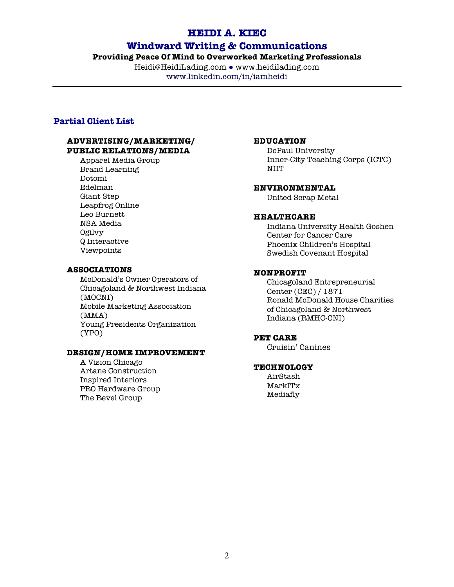## **HEIDI A. KIEC**

## **Windward Writing & Communications**

### **Providing Peace Of Mind to Overworked Marketing Professionals**

Heidi@HeidiLading.com ● www.heidilading.com www.linkedin.com/in/iamheidi

## **Partial Client List**

#### **ADVERTISING/MARKETING/ PUBLIC RELATIONS/MEDIA**

Apparel Media Group Brand Learning Dotomi Edelman Giant Step Leapfrog Online Leo Burnett NSA Media Ogilvy Q Interactive Viewpoints

#### **ASSOCIATIONS**

McDonald's Owner Operators of Chicagoland & Northwest Indiana (MOCNI) Mobile Marketing Association (MMA) Young Presidents Organization (YPO)

#### **DESIGN/HOME IMPROVEMENT**

A Vision Chicago Artane Construction Inspired Interiors PRO Hardware Group The Revel Group

#### **EDUCATION**

DePaul University Inner-City Teaching Corps (ICTC) NIIT

## **ENVIRONMENTAL**

United Scrap Metal

#### **HEALTHCARE**

Indiana University Health Goshen Center for Cancer Care Phoenix Children's Hospital Swedish Covenant Hospital

#### **NONPROFIT**

Chicagoland Entrepreneurial Center (CEC) / 1871 Ronald McDonald House Charities of Chicagoland & Northwest Indiana (RMHC-CNI)

#### **PET CARE**

Cruisin' Canines

## **TECHNOLOGY**

AirStash MarkITx Mediafly